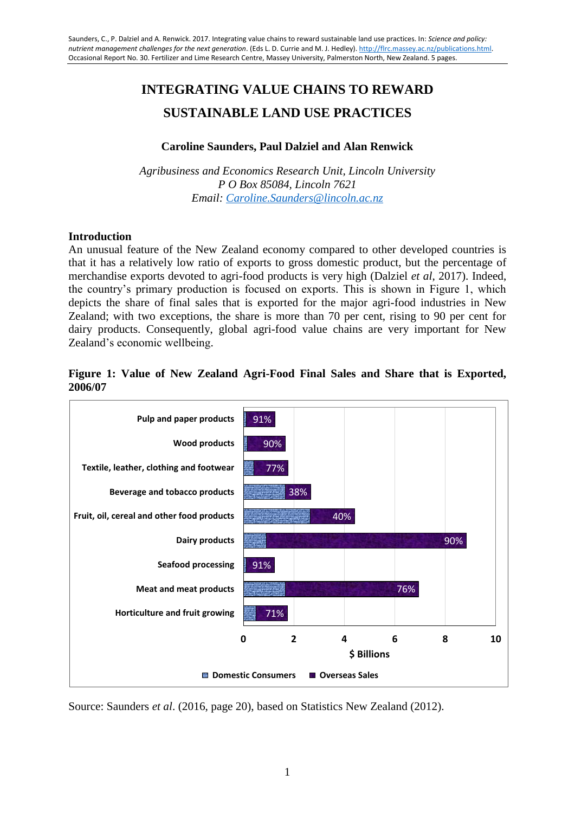# **INTEGRATING VALUE CHAINS TO REWARD SUSTAINABLE LAND USE PRACTICES**

#### **Caroline Saunders, Paul Dalziel and Alan Renwick**

*Agribusiness and Economics Research Unit, Lincoln University P O Box 85084, Lincoln 7621 Email: [Caroline.Saunders@lincoln.ac.nz](mailto:Caroline.Saunders@lincoln.ac.nz)*

#### **Introduction**

An unusual feature of the New Zealand economy compared to other developed countries is that it has a relatively low ratio of exports to gross domestic product, but the percentage of merchandise exports devoted to agri-food products is very high (Dalziel *et al*, 2017). Indeed, the country"s primary production is focused on exports. This is shown in Figure 1, which depicts the share of final sales that is exported for the major agri-food industries in New Zealand; with two exceptions, the share is more than 70 per cent, rising to 90 per cent for dairy products. Consequently, global agri-food value chains are very important for New Zealand"s economic wellbeing.

## **Figure 1: Value of New Zealand Agri-Food Final Sales and Share that is Exported, 2006/07**



Source: Saunders *et al*. (2016, page 20), based on Statistics New Zealand (2012).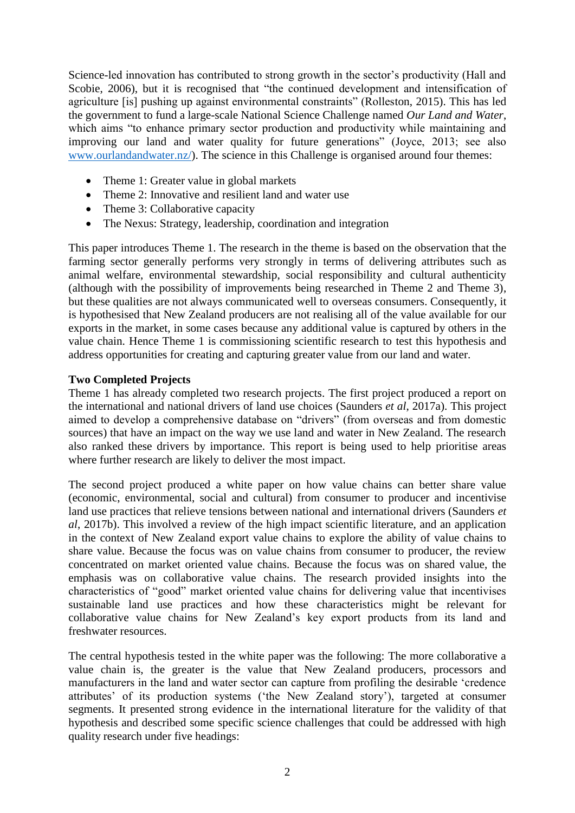Science-led innovation has contributed to strong growth in the sector's productivity (Hall and Scobie, 2006), but it is recognised that "the continued development and intensification of agriculture [is] pushing up against environmental constraints" (Rolleston, 2015). This has led the government to fund a large-scale National Science Challenge named *Our Land and Water*, which aims "to enhance primary sector production and productivity while maintaining and improving our land and water quality for future generations" (Joyce, 2013; see also [www.ourlandandwater.nz/\)](http://www.ourlandandwater.nz/). The science in this Challenge is organised around four themes:

- Theme 1: Greater value in global markets
- Theme 2: Innovative and resilient land and water use
- Theme 3: Collaborative capacity
- The Nexus: Strategy, leadership, coordination and integration

This paper introduces Theme 1. The research in the theme is based on the observation that the farming sector generally performs very strongly in terms of delivering attributes such as animal welfare, environmental stewardship, social responsibility and cultural authenticity (although with the possibility of improvements being researched in Theme 2 and Theme 3), but these qualities are not always communicated well to overseas consumers. Consequently, it is hypothesised that New Zealand producers are not realising all of the value available for our exports in the market, in some cases because any additional value is captured by others in the value chain. Hence Theme 1 is commissioning scientific research to test this hypothesis and address opportunities for creating and capturing greater value from our land and water.

# **Two Completed Projects**

Theme 1 has already completed two research projects. The first project produced a report on the international and national drivers of land use choices (Saunders *et al*, 2017a). This project aimed to develop a comprehensive database on "drivers" (from overseas and from domestic sources) that have an impact on the way we use land and water in New Zealand. The research also ranked these drivers by importance. This report is being used to help prioritise areas where further research are likely to deliver the most impact.

The second project produced a white paper on how value chains can better share value (economic, environmental, social and cultural) from consumer to producer and incentivise land use practices that relieve tensions between national and international drivers (Saunders *et al*, 2017b). This involved a review of the high impact scientific literature, and an application in the context of New Zealand export value chains to explore the ability of value chains to share value. Because the focus was on value chains from consumer to producer, the review concentrated on market oriented value chains. Because the focus was on shared value, the emphasis was on collaborative value chains. The research provided insights into the characteristics of "good" market oriented value chains for delivering value that incentivises sustainable land use practices and how these characteristics might be relevant for collaborative value chains for New Zealand"s key export products from its land and freshwater resources.

The central hypothesis tested in the white paper was the following: The more collaborative a value chain is, the greater is the value that New Zealand producers, processors and manufacturers in the land and water sector can capture from profiling the desirable "credence attributes" of its production systems ("the New Zealand story"), targeted at consumer segments. It presented strong evidence in the international literature for the validity of that hypothesis and described some specific science challenges that could be addressed with high quality research under five headings: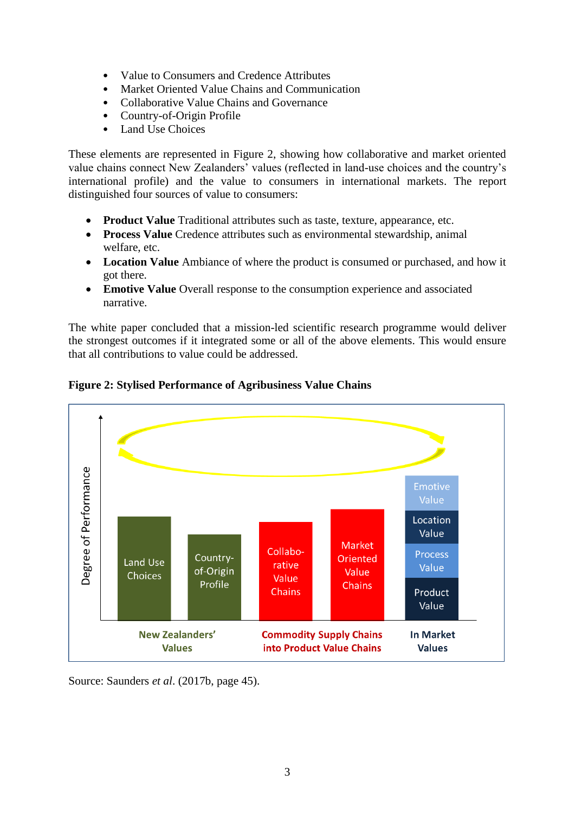- Value to Consumers and Credence Attributes
- Market Oriented Value Chains and Communication
- Collaborative Value Chains and Governance
- Country-of-Origin Profile
- Land Use Choices

These elements are represented in Figure 2, showing how collaborative and market oriented value chains connect New Zealanders' values (reflected in land-use choices and the country's international profile) and the value to consumers in international markets. The report distinguished four sources of value to consumers:

- **Product Value** Traditional attributes such as taste, texture, appearance, etc.
- **Process Value** Credence attributes such as environmental stewardship, animal welfare, etc.
- **Location Value** Ambiance of where the product is consumed or purchased, and how it got there.
- **Emotive Value** Overall response to the consumption experience and associated narrative.

The white paper concluded that a mission-led scientific research programme would deliver the strongest outcomes if it integrated some or all of the above elements. This would ensure that all contributions to value could be addressed.



**Figure 2: Stylised Performance of Agribusiness Value Chains**

Source: Saunders *et al*. (2017b, page 45).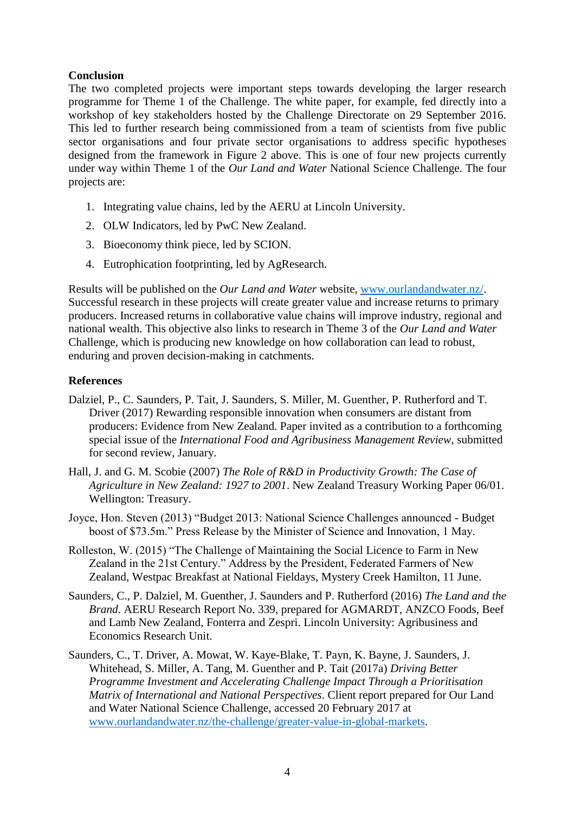## **Conclusion**

The two completed projects were important steps towards developing the larger research programme for Theme 1 of the Challenge. The white paper, for example, fed directly into a workshop of key stakeholders hosted by the Challenge Directorate on 29 September 2016. This led to further research being commissioned from a team of scientists from five public sector organisations and four private sector organisations to address specific hypotheses designed from the framework in Figure 2 above. This is one of four new projects currently under way within Theme 1 of the *Our Land and Water* National Science Challenge. The four projects are:

- 1. Integrating value chains, led by the AERU at Lincoln University.
- 2. OLW Indicators, led by PwC New Zealand.
- 3. Bioeconomy think piece, led by SCION.
- 4. Eutrophication footprinting, led by AgResearch.

Results will be published on the *Our Land and Water* website, [www.ourlandandwater.nz/.](http://www.ourlandandwater.nz/) Successful research in these projects will create greater value and increase returns to primary producers. Increased returns in collaborative value chains will improve industry, regional and national wealth. This objective also links to research in Theme 3 of the *Our Land and Water* Challenge, which is producing new knowledge on how collaboration can lead to robust, enduring and proven decision-making in catchments.

## **References**

- Dalziel, P., C. Saunders, P. Tait, J. Saunders, S. Miller, M. Guenther, P. Rutherford and T. Driver (2017) Rewarding responsible innovation when consumers are distant from producers: Evidence from New Zealand. Paper invited as a contribution to a forthcoming special issue of the *International Food and Agribusiness Management Review*, submitted for second review, January.
- Hall, J. and G. M. Scobie (2007) *The Role of R&D in Productivity Growth: The Case of Agriculture in New Zealand: 1927 to 2001*. New Zealand Treasury Working Paper 06/01. Wellington: Treasury.
- Joyce, Hon. Steven (2013) "Budget 2013: National Science Challenges announced Budget boost of \$73.5m." Press Release by the Minister of Science and Innovation, 1 May.
- Rolleston, W. (2015) "The Challenge of Maintaining the Social Licence to Farm in New Zealand in the 21st Century." Address by the President, Federated Farmers of New Zealand, Westpac Breakfast at National Fieldays, Mystery Creek Hamilton, 11 June.
- Saunders, C., P. Dalziel, M. Guenther, J. Saunders and P. Rutherford (2016) *The Land and the Brand*. AERU Research Report No. 339, prepared for AGMARDT, ANZCO Foods, Beef and Lamb New Zealand, Fonterra and Zespri. Lincoln University: Agribusiness and Economics Research Unit.
- Saunders, C., T. Driver, A. Mowat, W. Kaye-Blake, T. Payn, K. Bayne, J. Saunders, J. Whitehead, S. Miller, A. Tang, M. Guenther and P. Tait (2017a) *Driving Better Programme Investment and Accelerating Challenge Impact Through a Prioritisation Matrix of International and National Perspectives*. Client report prepared for Our Land and Water National Science Challenge, accessed 20 February 2017 at [www.ourlandandwater.nz/the-challenge/greater-value-in-global-markets.](http://www.ourlandandwater.nz/the-challenge/greater-value-in-global-markets)